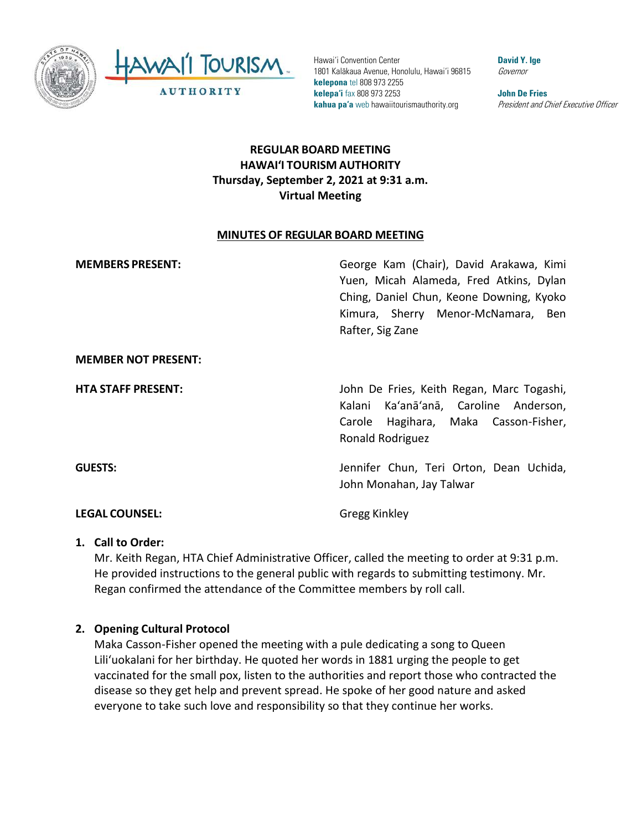



Hawai'i Convention Center 1801 Kalākaua Avenue, Honolulu, Hawai'i 96815 **kelepona** tel 808 973 2255 **kelepa'i** fax 808 973 2253 **kahua pa'a** web hawaiitourismauthority.org

**David Y. Ige** Governor

**John De Fries** President and Chief Executive Officer

# **REGULAR BOARD MEETING HAWAI'I TOURISM AUTHORITY Thursday, September 2, 2021 at 9:31 a.m. Virtual Meeting**

#### **MINUTES OF REGULAR BOARD MEETING**

| <b>MEMBERS PRESENT:</b>    | George Kam (Chair), David Arakawa, Kimi<br>Yuen, Micah Alameda, Fred Atkins, Dylan<br>Ching, Daniel Chun, Keone Downing, Kyoko<br>Kimura, Sherry Menor-McNamara, Ben<br>Rafter, Sig Zane |
|----------------------------|------------------------------------------------------------------------------------------------------------------------------------------------------------------------------------------|
| <b>MEMBER NOT PRESENT:</b> |                                                                                                                                                                                          |
| <b>HTA STAFF PRESENT:</b>  | John De Fries, Keith Regan, Marc Togashi,<br>Kalani Ka'anā'anā, Caroline Anderson,<br>Carole Hagihara, Maka Casson-Fisher,<br>Ronald Rodriguez                                           |
| <b>GUESTS:</b>             | Jennifer Chun, Teri Orton, Dean Uchida,<br>John Monahan, Jay Talwar                                                                                                                      |
| <b>LEGAL COUNSEL:</b>      | <b>Gregg Kinkley</b>                                                                                                                                                                     |

#### **1. Call to Order:**

Mr. Keith Regan, HTA Chief Administrative Officer, called the meeting to order at 9:31 p.m. He provided instructions to the general public with regards to submitting testimony. Mr. Regan confirmed the attendance of the Committee members by roll call.

## **2. Opening Cultural Protocol**

Maka Casson-Fisher opened the meeting with a pule dedicating a song to Queen Liliʻuokalani for her birthday. He quoted her words in 1881 urging the people to get vaccinated for the small pox, listen to the authorities and report those who contracted the disease so they get help and prevent spread. He spoke of her good nature and asked everyone to take such love and responsibility so that they continue her works.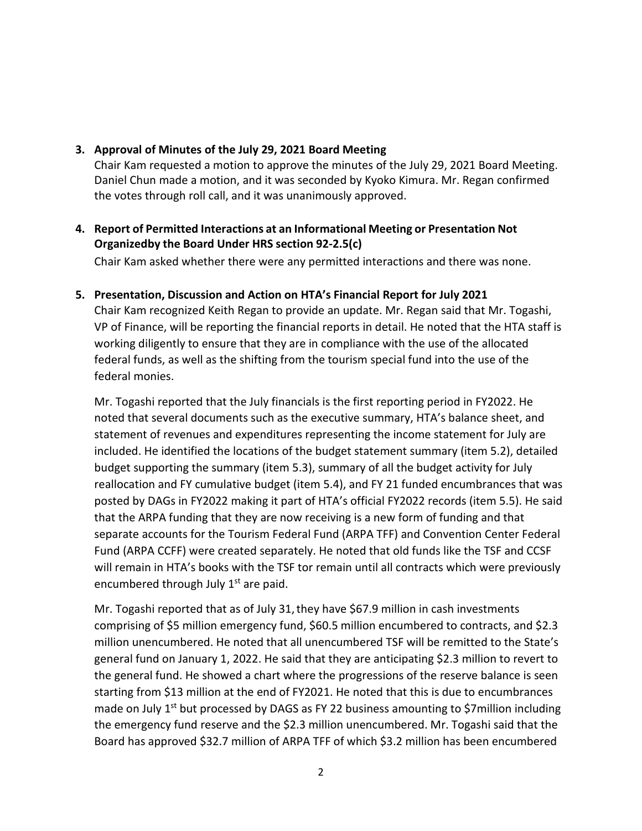#### **3. Approval of Minutes of the July 29, 2021 Board Meeting**

Chair Kam requested a motion to approve the minutes of the July 29, 2021 Board Meeting. Daniel Chun made a motion, and it was seconded by Kyoko Kimura. Mr. Regan confirmed the votes through roll call, and it was unanimously approved.

# **4. Report of Permitted Interactions at an Informational Meeting or Presentation Not Organizedby the Board Under HRS section 92-2.5(c)**

Chair Kam asked whether there were any permitted interactions and there was none.

**5. Presentation, Discussion and Action on HTA's Financial Report for July 2021** Chair Kam recognized Keith Regan to provide an update. Mr. Regan said that Mr. Togashi, VP of Finance, will be reporting the financial reports in detail. He noted that the HTA staff is working diligently to ensure that they are in compliance with the use of the allocated federal funds, as well as the shifting from the tourism special fund into the use of the federal monies.

Mr. Togashi reported that the July financials is the first reporting period in FY2022. He noted that several documents such as the executive summary, HTA's balance sheet, and statement of revenues and expenditures representing the income statement for July are included. He identified the locations of the budget statement summary (item 5.2), detailed budget supporting the summary (item 5.3), summary of all the budget activity for July reallocation and FY cumulative budget (item 5.4), and FY 21 funded encumbrances that was posted by DAGs in FY2022 making it part of HTA's official FY2022 records (item 5.5). He said that the ARPA funding that they are now receiving is a new form of funding and that separate accounts for the Tourism Federal Fund (ARPA TFF) and Convention Center Federal Fund (ARPA CCFF) were created separately. He noted that old funds like the TSF and CCSF will remain in HTA's books with the TSF tor remain until all contracts which were previously encumbered through July  $1<sup>st</sup>$  are paid.

Mr. Togashi reported that as of July 31,they have \$67.9 million in cash investments comprising of \$5 million emergency fund, \$60.5 million encumbered to contracts, and \$2.3 million unencumbered. He noted that all unencumbered TSF will be remitted to the State's general fund on January 1, 2022. He said that they are anticipating \$2.3 million to revert to the general fund. He showed a chart where the progressions of the reserve balance is seen starting from \$13 million at the end of FY2021. He noted that this is due to encumbrances made on July  $1<sup>st</sup>$  but processed by DAGS as FY 22 business amounting to \$7 million including the emergency fund reserve and the \$2.3 million unencumbered. Mr. Togashi said that the Board has approved \$32.7 million of ARPA TFF of which \$3.2 million has been encumbered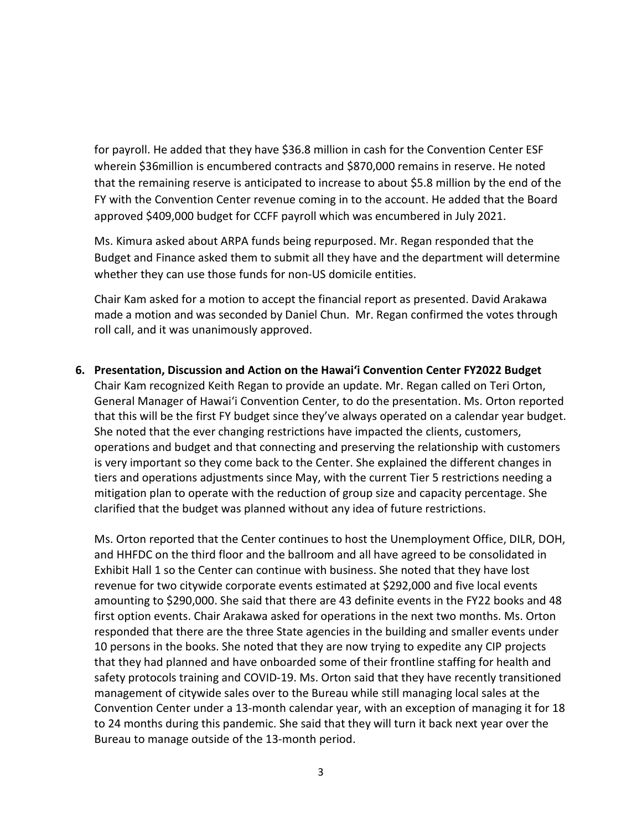for payroll. He added that they have \$36.8 million in cash for the Convention Center ESF wherein \$36million is encumbered contracts and \$870,000 remains in reserve. He noted that the remaining reserve is anticipated to increase to about \$5.8 million by the end of the FY with the Convention Center revenue coming in to the account. He added that the Board approved \$409,000 budget for CCFF payroll which was encumbered in July 2021.

Ms. Kimura asked about ARPA funds being repurposed. Mr. Regan responded that the Budget and Finance asked them to submit all they have and the department will determine whether they can use those funds for non-US domicile entities.

Chair Kam asked for a motion to accept the financial report as presented. David Arakawa made a motion and was seconded by Daniel Chun. Mr. Regan confirmed the votes through roll call, and it was unanimously approved.

**6. Presentation, Discussion and Action on the Hawaiʻi Convention Center FY2022 Budget** Chair Kam recognized Keith Regan to provide an update. Mr. Regan called on Teri Orton, General Manager of Hawaiʻi Convention Center, to do the presentation. Ms. Orton reported that this will be the first FY budget since they've always operated on a calendar year budget. She noted that the ever changing restrictions have impacted the clients, customers, operations and budget and that connecting and preserving the relationship with customers is very important so they come back to the Center. She explained the different changes in tiers and operations adjustments since May, with the current Tier 5 restrictions needing a mitigation plan to operate with the reduction of group size and capacity percentage. She clarified that the budget was planned without any idea of future restrictions.

Ms. Orton reported that the Center continues to host the Unemployment Office, DILR, DOH, and HHFDC on the third floor and the ballroom and all have agreed to be consolidated in Exhibit Hall 1 so the Center can continue with business. She noted that they have lost revenue for two citywide corporate events estimated at \$292,000 and five local events amounting to \$290,000. She said that there are 43 definite events in the FY22 books and 48 first option events. Chair Arakawa asked for operations in the next two months. Ms. Orton responded that there are the three State agencies in the building and smaller events under 10 persons in the books. She noted that they are now trying to expedite any CIP projects that they had planned and have onboarded some of their frontline staffing for health and safety protocols training and COVID-19. Ms. Orton said that they have recently transitioned management of citywide sales over to the Bureau while still managing local sales at the Convention Center under a 13-month calendar year, with an exception of managing it for 18 to 24 months during this pandemic. She said that they will turn it back next year over the Bureau to manage outside of the 13-month period.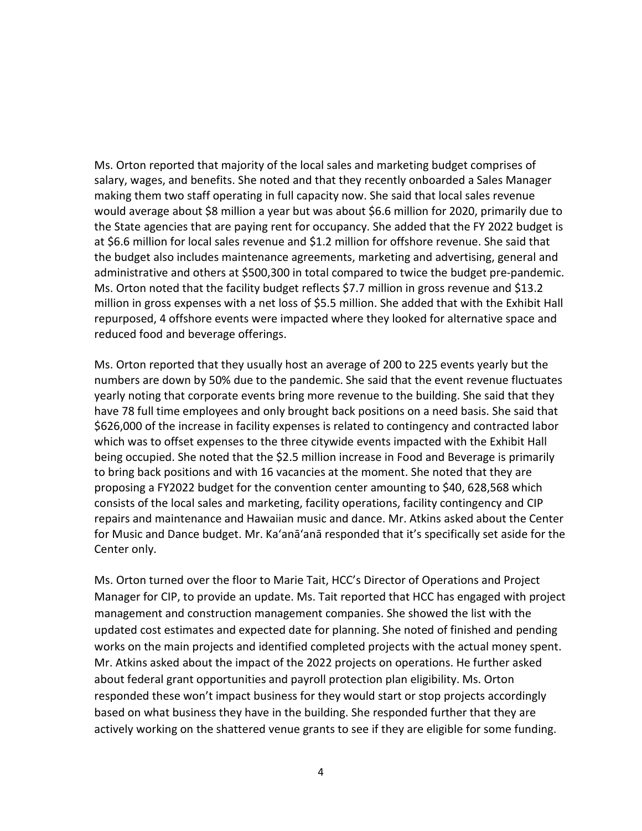Ms. Orton reported that majority of the local sales and marketing budget comprises of salary, wages, and benefits. She noted and that they recently onboarded a Sales Manager making them two staff operating in full capacity now. She said that local sales revenue would average about \$8 million a year but was about \$6.6 million for 2020, primarily due to the State agencies that are paying rent for occupancy. She added that the FY 2022 budget is at \$6.6 million for local sales revenue and \$1.2 million for offshore revenue. She said that the budget also includes maintenance agreements, marketing and advertising, general and administrative and others at \$500,300 in total compared to twice the budget pre-pandemic. Ms. Orton noted that the facility budget reflects \$7.7 million in gross revenue and \$13.2 million in gross expenses with a net loss of \$5.5 million. She added that with the Exhibit Hall repurposed, 4 offshore events were impacted where they looked for alternative space and reduced food and beverage offerings.

Ms. Orton reported that they usually host an average of 200 to 225 events yearly but the numbers are down by 50% due to the pandemic. She said that the event revenue fluctuates yearly noting that corporate events bring more revenue to the building. She said that they have 78 full time employees and only brought back positions on a need basis. She said that \$626,000 of the increase in facility expenses is related to contingency and contracted labor which was to offset expenses to the three citywide events impacted with the Exhibit Hall being occupied. She noted that the \$2.5 million increase in Food and Beverage is primarily to bring back positions and with 16 vacancies at the moment. She noted that they are proposing a FY2022 budget for the convention center amounting to \$40, 628,568 which consists of the local sales and marketing, facility operations, facility contingency and CIP repairs and maintenance and Hawaiian music and dance. Mr. Atkins asked about the Center for Music and Dance budget. Mr. Ka'anā'anā responded that it's specifically set aside for the Center only.

Ms. Orton turned over the floor to Marie Tait, HCC's Director of Operations and Project Manager for CIP, to provide an update. Ms. Tait reported that HCC has engaged with project management and construction management companies. She showed the list with the updated cost estimates and expected date for planning. She noted of finished and pending works on the main projects and identified completed projects with the actual money spent. Mr. Atkins asked about the impact of the 2022 projects on operations. He further asked about federal grant opportunities and payroll protection plan eligibility. Ms. Orton responded these won't impact business for they would start or stop projects accordingly based on what business they have in the building. She responded further that they are actively working on the shattered venue grants to see if they are eligible for some funding.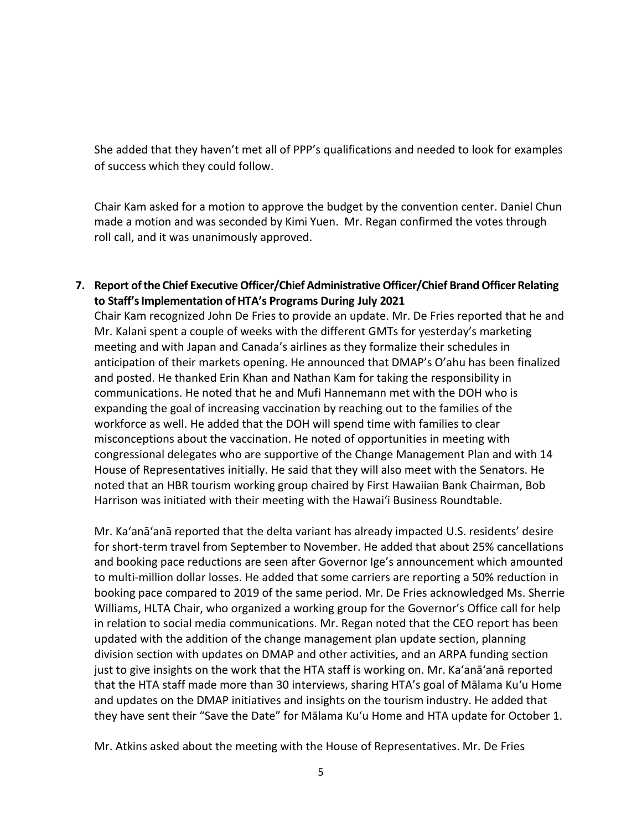She added that they haven't met all of PPP's qualifications and needed to look for examples of success which they could follow.

Chair Kam asked for a motion to approve the budget by the convention center. Daniel Chun made a motion and was seconded by Kimi Yuen. Mr. Regan confirmed the votes through roll call, and it was unanimously approved.

**7. Report ofthe Chief ExecutiveOfficer/Chief AdministrativeOfficer/Chief Brand Officer Relating to Staff'sImplementation ofHTA's Programs During July 2021**

Chair Kam recognized John De Fries to provide an update. Mr. De Fries reported that he and Mr. Kalani spent a couple of weeks with the different GMTs for yesterday's marketing meeting and with Japan and Canada's airlines as they formalize their schedules in anticipation of their markets opening. He announced that DMAP's O'ahu has been finalized and posted. He thanked Erin Khan and Nathan Kam for taking the responsibility in communications. He noted that he and Mufi Hannemann met with the DOH who is expanding the goal of increasing vaccination by reaching out to the families of the workforce as well. He added that the DOH will spend time with families to clear misconceptions about the vaccination. He noted of opportunities in meeting with congressional delegates who are supportive of the Change Management Plan and with 14 House of Representatives initially. He said that they will also meet with the Senators. He noted that an HBR tourism working group chaired by First Hawaiian Bank Chairman, Bob Harrison was initiated with their meeting with the Hawaiʻi Business Roundtable.

Mr. Ka'anā'anā reported that the delta variant has already impacted U.S. residents' desire for short-term travel from September to November. He added that about 25% cancellations and booking pace reductions are seen after Governor Ige's announcement which amounted to multi-million dollar losses. He added that some carriers are reporting a 50% reduction in booking pace compared to 2019 of the same period. Mr. De Fries acknowledged Ms. Sherrie Williams, HLTA Chair, who organized a working group for the Governor's Office call for help in relation to social media communications. Mr. Regan noted that the CEO report has been updated with the addition of the change management plan update section, planning division section with updates on DMAP and other activities, and an ARPA funding section just to give insights on the work that the HTA staff is working on. Mr. Ka'anā'anā reported that the HTA staff made more than 30 interviews, sharing HTA's goal of Mālama Kuʻu Home and updates on the DMAP initiatives and insights on the tourism industry. He added that they have sent their "Save the Date" for Mālama Kuʻu Home and HTA update for October 1.

Mr. Atkins asked about the meeting with the House of Representatives. Mr. De Fries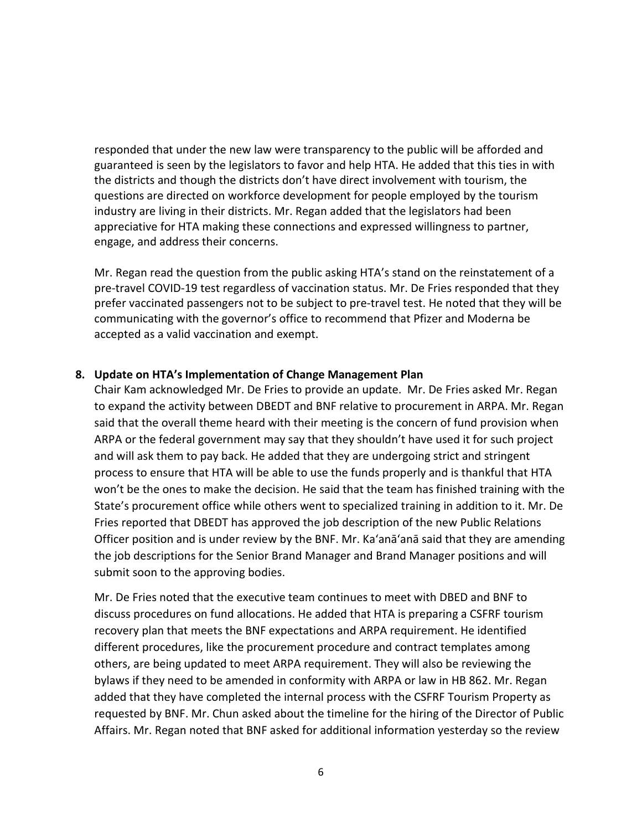responded that under the new law were transparency to the public will be afforded and guaranteed is seen by the legislators to favor and help HTA. He added that this ties in with the districts and though the districts don't have direct involvement with tourism, the questions are directed on workforce development for people employed by the tourism industry are living in their districts. Mr. Regan added that the legislators had been appreciative for HTA making these connections and expressed willingness to partner, engage, and address their concerns.

Mr. Regan read the question from the public asking HTA's stand on the reinstatement of a pre-travel COVID-19 test regardless of vaccination status. Mr. De Fries responded that they prefer vaccinated passengers not to be subject to pre-travel test. He noted that they will be communicating with the governor's office to recommend that Pfizer and Moderna be accepted as a valid vaccination and exempt.

### **8. Update on HTA's Implementation of Change Management Plan**

Chair Kam acknowledged Mr. De Fries to provide an update. Mr. De Fries asked Mr. Regan to expand the activity between DBEDT and BNF relative to procurement in ARPA. Mr. Regan said that the overall theme heard with their meeting is the concern of fund provision when ARPA or the federal government may say that they shouldn't have used it for such project and will ask them to pay back. He added that they are undergoing strict and stringent process to ensure that HTA will be able to use the funds properly and is thankful that HTA won't be the ones to make the decision. He said that the team has finished training with the State's procurement office while others went to specialized training in addition to it. Mr. De Fries reported that DBEDT has approved the job description of the new Public Relations Officer position and is under review by the BNF. Mr. Ka'anā'anā said that they are amending the job descriptions for the Senior Brand Manager and Brand Manager positions and will submit soon to the approving bodies.

Mr. De Fries noted that the executive team continues to meet with DBED and BNF to discuss procedures on fund allocations. He added that HTA is preparing a CSFRF tourism recovery plan that meets the BNF expectations and ARPA requirement. He identified different procedures, like the procurement procedure and contract templates among others, are being updated to meet ARPA requirement. They will also be reviewing the bylaws if they need to be amended in conformity with ARPA or law in HB 862. Mr. Regan added that they have completed the internal process with the CSFRF Tourism Property as requested by BNF. Mr. Chun asked about the timeline for the hiring of the Director of Public Affairs. Mr. Regan noted that BNF asked for additional information yesterday so the review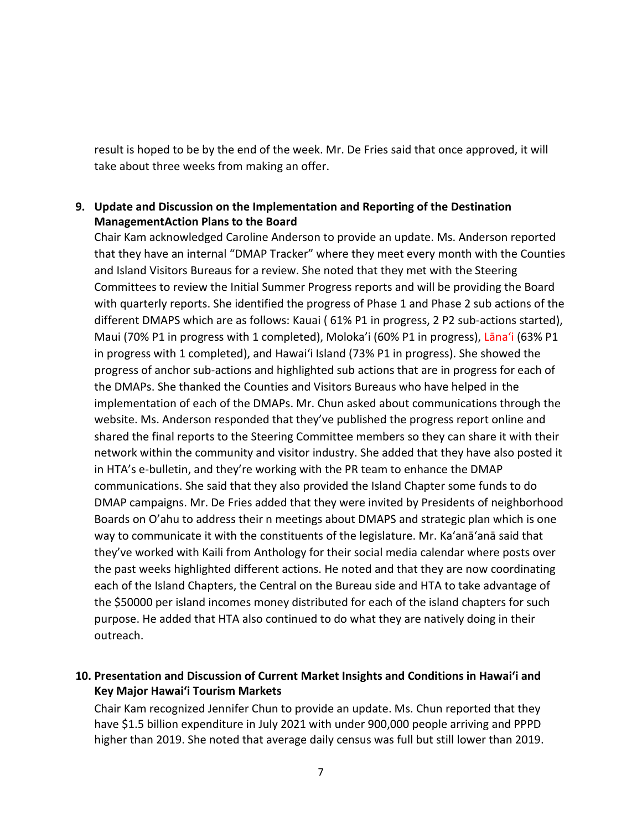result is hoped to be by the end of the week. Mr. De Fries said that once approved, it will take about three weeks from making an offer.

# **9. Update and Discussion on the Implementation and Reporting of the Destination ManagementAction Plans to the Board**

Chair Kam acknowledged Caroline Anderson to provide an update. Ms. Anderson reported that they have an internal "DMAP Tracker" where they meet every month with the Counties and Island Visitors Bureaus for a review. She noted that they met with the Steering Committees to review the Initial Summer Progress reports and will be providing the Board with quarterly reports. She identified the progress of Phase 1 and Phase 2 sub actions of the different DMAPS which are as follows: Kauai ( 61% P1 in progress, 2 P2 sub-actions started), Maui (70% P1 in progress with 1 completed), Moloka'i (60% P1 in progress), Lānaʻi (63% P1 in progress with 1 completed), and Hawaiʻi Island (73% P1 in progress). She showed the progress of anchor sub-actions and highlighted sub actions that are in progress for each of the DMAPs. She thanked the Counties and Visitors Bureaus who have helped in the implementation of each of the DMAPs. Mr. Chun asked about communications through the website. Ms. Anderson responded that they've published the progress report online and shared the final reports to the Steering Committee members so they can share it with their network within the community and visitor industry. She added that they have also posted it in HTA's e-bulletin, and they're working with the PR team to enhance the DMAP communications. She said that they also provided the Island Chapter some funds to do DMAP campaigns. Mr. De Fries added that they were invited by Presidents of neighborhood Boards on O'ahu to address their n meetings about DMAPS and strategic plan which is one way to communicate it with the constituents of the legislature. Mr. Ka'anā'anā said that they've worked with Kaili from Anthology for their social media calendar where posts over the past weeks highlighted different actions. He noted and that they are now coordinating each of the Island Chapters, the Central on the Bureau side and HTA to take advantage of the \$50000 per island incomes money distributed for each of the island chapters for such purpose. He added that HTA also continued to do what they are natively doing in their outreach.

### **10. Presentation and Discussion of Current Market Insights and Conditions in Hawai'i and Key Major Hawai'i Tourism Markets**

Chair Kam recognized Jennifer Chun to provide an update. Ms. Chun reported that they have \$1.5 billion expenditure in July 2021 with under 900,000 people arriving and PPPD higher than 2019. She noted that average daily census was full but still lower than 2019.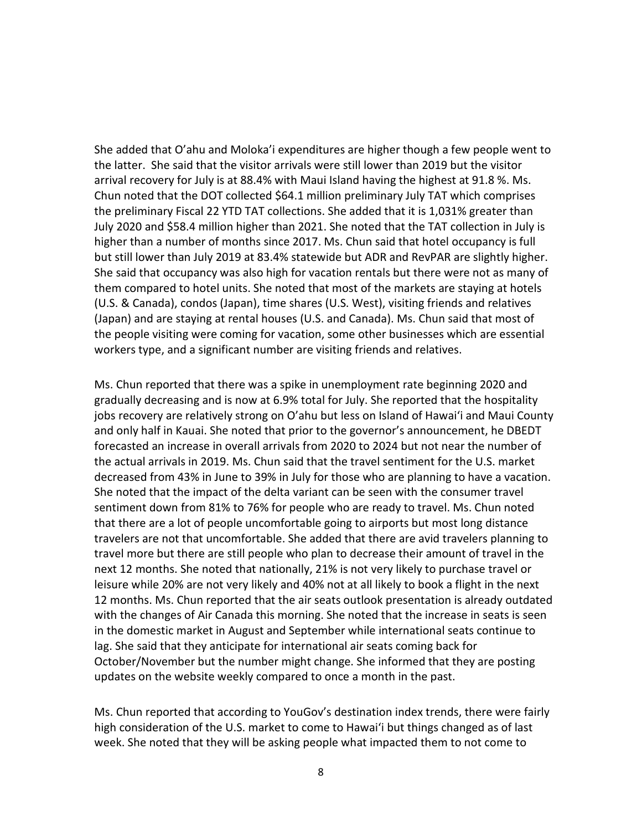She added that O'ahu and Moloka'i expenditures are higher though a few people went to the latter. She said that the visitor arrivals were still lower than 2019 but the visitor arrival recovery for July is at 88.4% with Maui Island having the highest at 91.8 %. Ms. Chun noted that the DOT collected \$64.1 million preliminary July TAT which comprises the preliminary Fiscal 22 YTD TAT collections. She added that it is 1,031% greater than July 2020 and \$58.4 million higher than 2021. She noted that the TAT collection in July is higher than a number of months since 2017. Ms. Chun said that hotel occupancy is full but still lower than July 2019 at 83.4% statewide but ADR and RevPAR are slightly higher. She said that occupancy was also high for vacation rentals but there were not as many of them compared to hotel units. She noted that most of the markets are staying at hotels (U.S. & Canada), condos (Japan), time shares (U.S. West), visiting friends and relatives (Japan) and are staying at rental houses (U.S. and Canada). Ms. Chun said that most of the people visiting were coming for vacation, some other businesses which are essential workers type, and a significant number are visiting friends and relatives.

Ms. Chun reported that there was a spike in unemployment rate beginning 2020 and gradually decreasing and is now at 6.9% total for July. She reported that the hospitality jobs recovery are relatively strong on O'ahu but less on Island of Hawaiʻi and Maui County and only half in Kauai. She noted that prior to the governor's announcement, he DBEDT forecasted an increase in overall arrivals from 2020 to 2024 but not near the number of the actual arrivals in 2019. Ms. Chun said that the travel sentiment for the U.S. market decreased from 43% in June to 39% in July for those who are planning to have a vacation. She noted that the impact of the delta variant can be seen with the consumer travel sentiment down from 81% to 76% for people who are ready to travel. Ms. Chun noted that there are a lot of people uncomfortable going to airports but most long distance travelers are not that uncomfortable. She added that there are avid travelers planning to travel more but there are still people who plan to decrease their amount of travel in the next 12 months. She noted that nationally, 21% is not very likely to purchase travel or leisure while 20% are not very likely and 40% not at all likely to book a flight in the next 12 months. Ms. Chun reported that the air seats outlook presentation is already outdated with the changes of Air Canada this morning. She noted that the increase in seats is seen in the domestic market in August and September while international seats continue to lag. She said that they anticipate for international air seats coming back for October/November but the number might change. She informed that they are posting updates on the website weekly compared to once a month in the past.

Ms. Chun reported that according to YouGov's destination index trends, there were fairly high consideration of the U.S. market to come to Hawaiʻi but things changed as of last week. She noted that they will be asking people what impacted them to not come to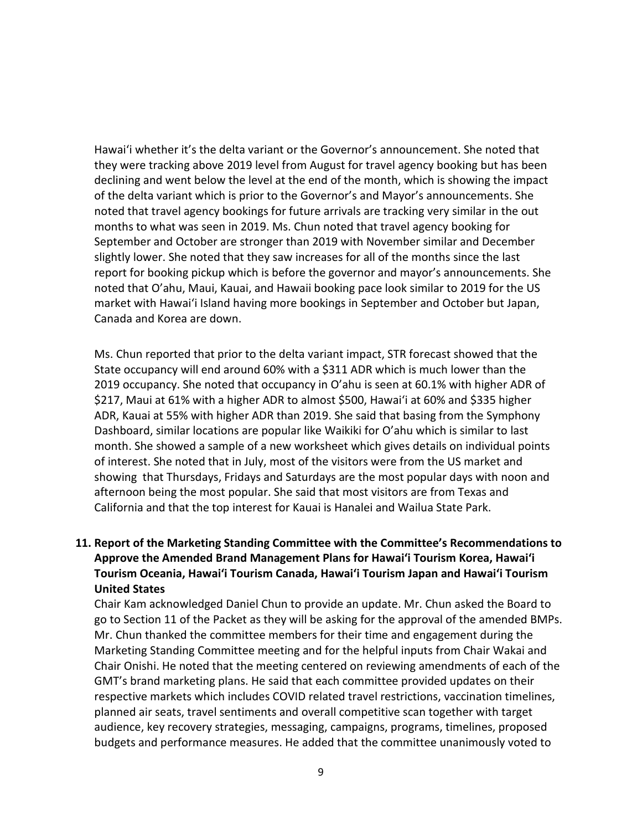Hawaiʻi whether it's the delta variant or the Governor's announcement. She noted that they were tracking above 2019 level from August for travel agency booking but has been declining and went below the level at the end of the month, which is showing the impact of the delta variant which is prior to the Governor's and Mayor's announcements. She noted that travel agency bookings for future arrivals are tracking very similar in the out months to what was seen in 2019. Ms. Chun noted that travel agency booking for September and October are stronger than 2019 with November similar and December slightly lower. She noted that they saw increases for all of the months since the last report for booking pickup which is before the governor and mayor's announcements. She noted that O'ahu, Maui, Kauai, and Hawaii booking pace look similar to 2019 for the US market with Hawaiʻi Island having more bookings in September and October but Japan, Canada and Korea are down.

Ms. Chun reported that prior to the delta variant impact, STR forecast showed that the State occupancy will end around 60% with a \$311 ADR which is much lower than the 2019 occupancy. She noted that occupancy in O'ahu is seen at 60.1% with higher ADR of \$217, Maui at 61% with a higher ADR to almost \$500, Hawaiʻi at 60% and \$335 higher ADR, Kauai at 55% with higher ADR than 2019. She said that basing from the Symphony Dashboard, similar locations are popular like Waikiki for O'ahu which is similar to last month. She showed a sample of a new worksheet which gives details on individual points of interest. She noted that in July, most of the visitors were from the US market and showing that Thursdays, Fridays and Saturdays are the most popular days with noon and afternoon being the most popular. She said that most visitors are from Texas and California and that the top interest for Kauai is Hanalei and Wailua State Park.

**11. Report of the Marketing Standing Committee with the Committee's Recommendations to Approve the Amended Brand Management Plans for Hawaiʻi Tourism Korea, Hawaiʻi Tourism Oceania, Hawaiʻi Tourism Canada, Hawaiʻi Tourism Japan and Hawaiʻi Tourism United States**

Chair Kam acknowledged Daniel Chun to provide an update. Mr. Chun asked the Board to go to Section 11 of the Packet as they will be asking for the approval of the amended BMPs. Mr. Chun thanked the committee members for their time and engagement during the Marketing Standing Committee meeting and for the helpful inputs from Chair Wakai and Chair Onishi. He noted that the meeting centered on reviewing amendments of each of the GMT's brand marketing plans. He said that each committee provided updates on their respective markets which includes COVID related travel restrictions, vaccination timelines, planned air seats, travel sentiments and overall competitive scan together with target audience, key recovery strategies, messaging, campaigns, programs, timelines, proposed budgets and performance measures. He added that the committee unanimously voted to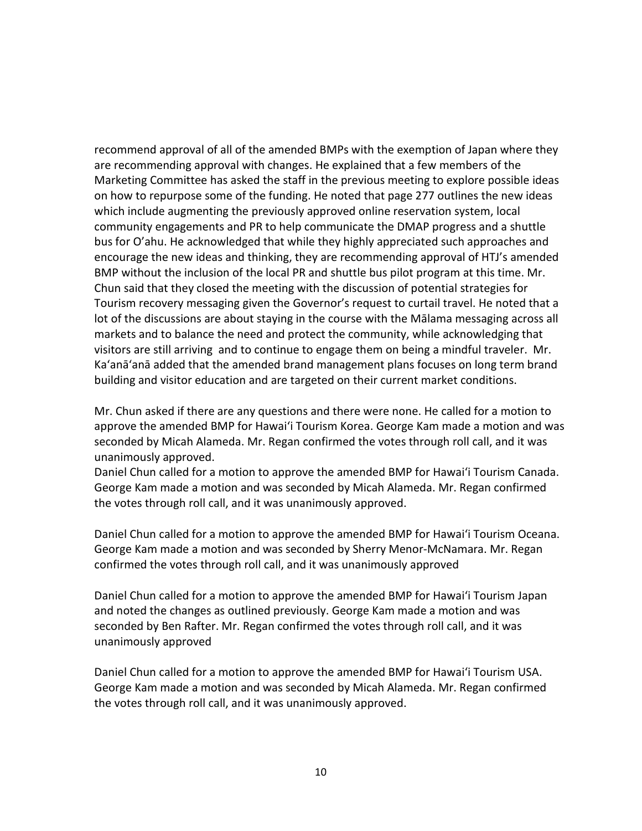recommend approval of all of the amended BMPs with the exemption of Japan where they are recommending approval with changes. He explained that a few members of the Marketing Committee has asked the staff in the previous meeting to explore possible ideas on how to repurpose some of the funding. He noted that page 277 outlines the new ideas which include augmenting the previously approved online reservation system, local community engagements and PR to help communicate the DMAP progress and a shuttle bus for O'ahu. He acknowledged that while they highly appreciated such approaches and encourage the new ideas and thinking, they are recommending approval of HTJ's amended BMP without the inclusion of the local PR and shuttle bus pilot program at this time. Mr. Chun said that they closed the meeting with the discussion of potential strategies for Tourism recovery messaging given the Governor's request to curtail travel. He noted that a lot of the discussions are about staying in the course with the Mālama messaging across all markets and to balance the need and protect the community, while acknowledging that visitors are still arriving and to continue to engage them on being a mindful traveler. Mr. Ka'anā'anā added that the amended brand management plans focuses on long term brand building and visitor education and are targeted on their current market conditions.

Mr. Chun asked if there are any questions and there were none. He called for a motion to approve the amended BMP for Hawaiʻi Tourism Korea. George Kam made a motion and was seconded by Micah Alameda. Mr. Regan confirmed the votes through roll call, and it was unanimously approved.

Daniel Chun called for a motion to approve the amended BMP for Hawaiʻi Tourism Canada. George Kam made a motion and was seconded by Micah Alameda. Mr. Regan confirmed the votes through roll call, and it was unanimously approved.

Daniel Chun called for a motion to approve the amended BMP for Hawaiʻi Tourism Oceana. George Kam made a motion and was seconded by Sherry Menor-McNamara. Mr. Regan confirmed the votes through roll call, and it was unanimously approved

Daniel Chun called for a motion to approve the amended BMP for Hawaiʻi Tourism Japan and noted the changes as outlined previously. George Kam made a motion and was seconded by Ben Rafter. Mr. Regan confirmed the votes through roll call, and it was unanimously approved

Daniel Chun called for a motion to approve the amended BMP for Hawaiʻi Tourism USA. George Kam made a motion and was seconded by Micah Alameda. Mr. Regan confirmed the votes through roll call, and it was unanimously approved.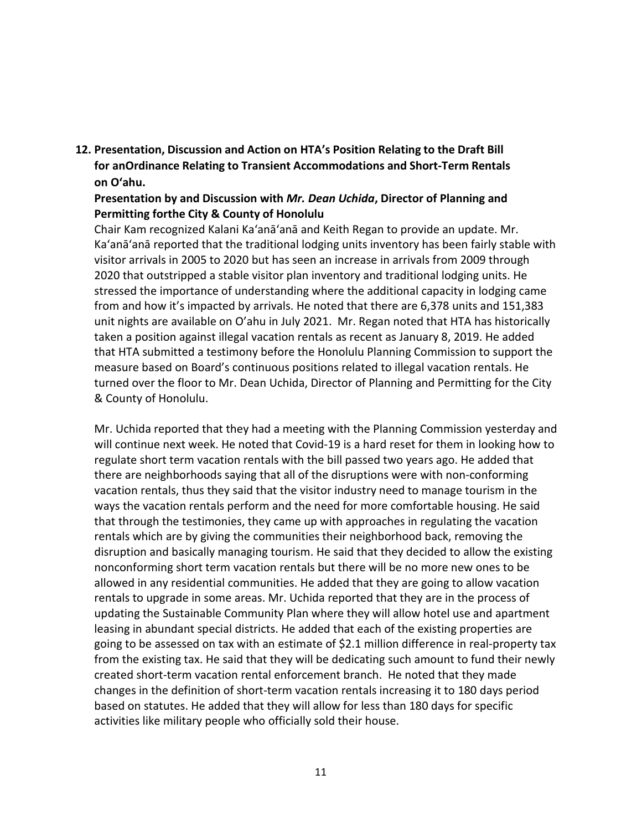**12. Presentation, Discussion and Action on HTA's Position Relating to the Draft Bill for anOrdinance Relating to Transient Accommodations and Short-Term Rentals on Oʻahu.**

### **Presentation by and Discussion with** *Mr. Dean Uchida***, Director of Planning and Permitting forthe City & County of Honolulu**

Chair Kam recognized Kalani Ka'anā'anā and Keith Regan to provide an update. Mr. Ka'anā'anā reported that the traditional lodging units inventory has been fairly stable with visitor arrivals in 2005 to 2020 but has seen an increase in arrivals from 2009 through 2020 that outstripped a stable visitor plan inventory and traditional lodging units. He stressed the importance of understanding where the additional capacity in lodging came from and how it's impacted by arrivals. He noted that there are 6,378 units and 151,383 unit nights are available on O'ahu in July 2021. Mr. Regan noted that HTA has historically taken a position against illegal vacation rentals as recent as January 8, 2019. He added that HTA submitted a testimony before the Honolulu Planning Commission to support the measure based on Board's continuous positions related to illegal vacation rentals. He turned over the floor to Mr. Dean Uchida, Director of Planning and Permitting for the City & County of Honolulu.

Mr. Uchida reported that they had a meeting with the Planning Commission yesterday and will continue next week. He noted that Covid-19 is a hard reset for them in looking how to regulate short term vacation rentals with the bill passed two years ago. He added that there are neighborhoods saying that all of the disruptions were with non-conforming vacation rentals, thus they said that the visitor industry need to manage tourism in the ways the vacation rentals perform and the need for more comfortable housing. He said that through the testimonies, they came up with approaches in regulating the vacation rentals which are by giving the communities their neighborhood back, removing the disruption and basically managing tourism. He said that they decided to allow the existing nonconforming short term vacation rentals but there will be no more new ones to be allowed in any residential communities. He added that they are going to allow vacation rentals to upgrade in some areas. Mr. Uchida reported that they are in the process of updating the Sustainable Community Plan where they will allow hotel use and apartment leasing in abundant special districts. He added that each of the existing properties are going to be assessed on tax with an estimate of \$2.1 million difference in real-property tax from the existing tax. He said that they will be dedicating such amount to fund their newly created short-term vacation rental enforcement branch. He noted that they made changes in the definition of short-term vacation rentals increasing it to 180 days period based on statutes. He added that they will allow for less than 180 days for specific activities like military people who officially sold their house.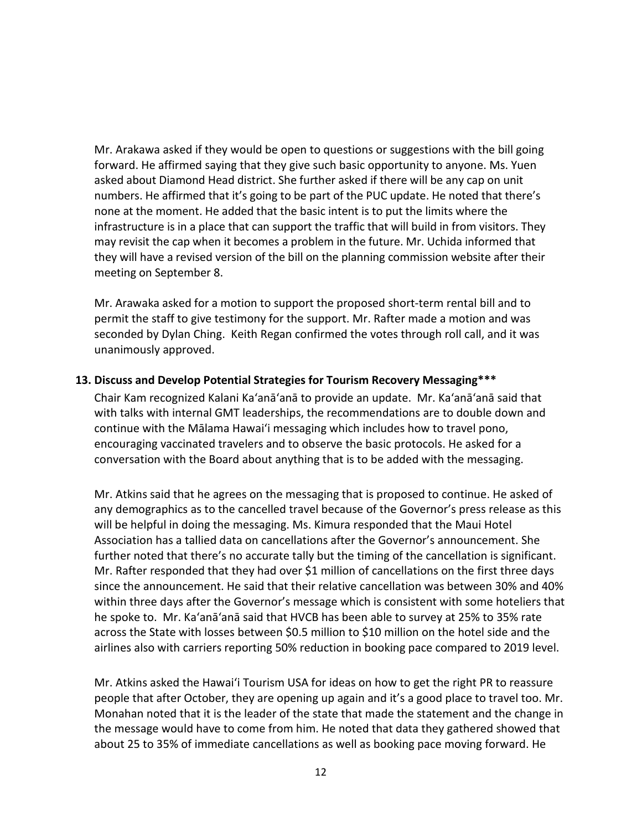Mr. Arakawa asked if they would be open to questions or suggestions with the bill going forward. He affirmed saying that they give such basic opportunity to anyone. Ms. Yuen asked about Diamond Head district. She further asked if there will be any cap on unit numbers. He affirmed that it's going to be part of the PUC update. He noted that there's none at the moment. He added that the basic intent is to put the limits where the infrastructure is in a place that can support the traffic that will build in from visitors. They may revisit the cap when it becomes a problem in the future. Mr. Uchida informed that they will have a revised version of the bill on the planning commission website after their meeting on September 8.

Mr. Arawaka asked for a motion to support the proposed short-term rental bill and to permit the staff to give testimony for the support. Mr. Rafter made a motion and was seconded by Dylan Ching. Keith Regan confirmed the votes through roll call, and it was unanimously approved.

#### **13. Discuss and Develop Potential Strategies for Tourism Recovery Messaging\*\*\***

Chair Kam recognized Kalani Ka'anā'anā to provide an update. Mr. Ka'anā'anā said that with talks with internal GMT leaderships, the recommendations are to double down and continue with the Mālama Hawaiʻi messaging which includes how to travel pono, encouraging vaccinated travelers and to observe the basic protocols. He asked for a conversation with the Board about anything that is to be added with the messaging.

Mr. Atkins said that he agrees on the messaging that is proposed to continue. He asked of any demographics as to the cancelled travel because of the Governor's press release as this will be helpful in doing the messaging. Ms. Kimura responded that the Maui Hotel Association has a tallied data on cancellations after the Governor's announcement. She further noted that there's no accurate tally but the timing of the cancellation is significant. Mr. Rafter responded that they had over \$1 million of cancellations on the first three days since the announcement. He said that their relative cancellation was between 30% and 40% within three days after the Governor's message which is consistent with some hoteliers that he spoke to. Mr. Ka'anā'anā said that HVCB has been able to survey at 25% to 35% rate across the State with losses between \$0.5 million to \$10 million on the hotel side and the airlines also with carriers reporting 50% reduction in booking pace compared to 2019 level.

Mr. Atkins asked the Hawaiʻi Tourism USA for ideas on how to get the right PR to reassure people that after October, they are opening up again and it's a good place to travel too. Mr. Monahan noted that it is the leader of the state that made the statement and the change in the message would have to come from him. He noted that data they gathered showed that about 25 to 35% of immediate cancellations as well as booking pace moving forward. He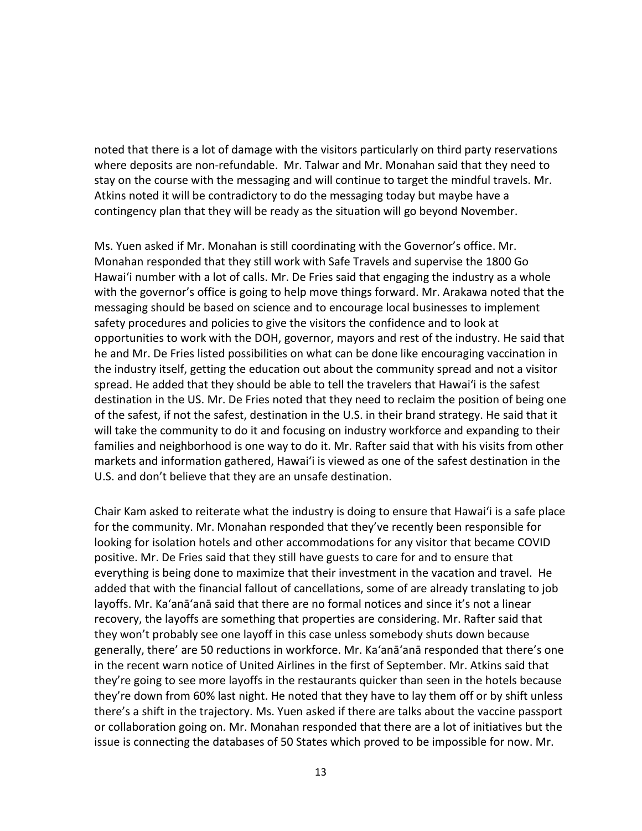noted that there is a lot of damage with the visitors particularly on third party reservations where deposits are non-refundable. Mr. Talwar and Mr. Monahan said that they need to stay on the course with the messaging and will continue to target the mindful travels. Mr. Atkins noted it will be contradictory to do the messaging today but maybe have a contingency plan that they will be ready as the situation will go beyond November.

Ms. Yuen asked if Mr. Monahan is still coordinating with the Governor's office. Mr. Monahan responded that they still work with Safe Travels and supervise the 1800 Go Hawaiʻi number with a lot of calls. Mr. De Fries said that engaging the industry as a whole with the governor's office is going to help move things forward. Mr. Arakawa noted that the messaging should be based on science and to encourage local businesses to implement safety procedures and policies to give the visitors the confidence and to look at opportunities to work with the DOH, governor, mayors and rest of the industry. He said that he and Mr. De Fries listed possibilities on what can be done like encouraging vaccination in the industry itself, getting the education out about the community spread and not a visitor spread. He added that they should be able to tell the travelers that Hawaiʻi is the safest destination in the US. Mr. De Fries noted that they need to reclaim the position of being one of the safest, if not the safest, destination in the U.S. in their brand strategy. He said that it will take the community to do it and focusing on industry workforce and expanding to their families and neighborhood is one way to do it. Mr. Rafter said that with his visits from other markets and information gathered, Hawaiʻi is viewed as one of the safest destination in the U.S. and don't believe that they are an unsafe destination.

Chair Kam asked to reiterate what the industry is doing to ensure that Hawaiʻi is a safe place for the community. Mr. Monahan responded that they've recently been responsible for looking for isolation hotels and other accommodations for any visitor that became COVID positive. Mr. De Fries said that they still have guests to care for and to ensure that everything is being done to maximize that their investment in the vacation and travel. He added that with the financial fallout of cancellations, some of are already translating to job layoffs. Mr. Ka'anā'anā said that there are no formal notices and since it's not a linear recovery, the layoffs are something that properties are considering. Mr. Rafter said that they won't probably see one layoff in this case unless somebody shuts down because generally, there' are 50 reductions in workforce. Mr. Ka'anā'anā responded that there's one in the recent warn notice of United Airlines in the first of September. Mr. Atkins said that they're going to see more layoffs in the restaurants quicker than seen in the hotels because they're down from 60% last night. He noted that they have to lay them off or by shift unless there's a shift in the trajectory. Ms. Yuen asked if there are talks about the vaccine passport or collaboration going on. Mr. Monahan responded that there are a lot of initiatives but the issue is connecting the databases of 50 States which proved to be impossible for now. Mr.